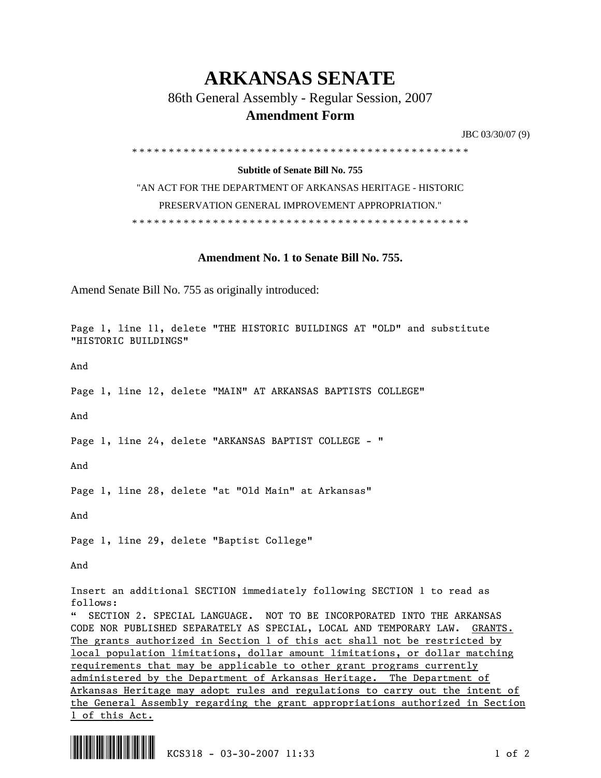## **ARKANSAS SENATE**

86th General Assembly - Regular Session, 2007

## **Amendment Form**

JBC 03/30/07 (9)

\* \* \* \* \* \* \* \* \* \* \* \* \* \* \* \* \* \* \* \* \* \* \* \* \* \* \* \* \* \* \* \* \* \* \* \* \* \* \* \* \* \* \* \* \* \*

## **Subtitle of Senate Bill No. 755**

"AN ACT FOR THE DEPARTMENT OF ARKANSAS HERITAGE - HISTORIC PRESERVATION GENERAL IMPROVEMENT APPROPRIATION." \* \* \* \* \* \* \* \* \* \* \* \* \* \* \* \* \* \* \* \* \* \* \* \* \* \* \* \* \* \* \* \* \* \* \* \* \* \* \* \* \* \* \* \* \* \*

**Amendment No. 1 to Senate Bill No. 755.** 

Amend Senate Bill No. 755 as originally introduced:

Page 1, line 11, delete "THE HISTORIC BUILDINGS AT "OLD" and substitute "HISTORIC BUILDINGS"

And

Page 1, line 12, delete "MAIN" AT ARKANSAS BAPTISTS COLLEGE"

And

Page 1, line 24, delete "ARKANSAS BAPTIST COLLEGE - "

And

Page 1, line 28, delete "at "Old Main" at Arkansas"

And

Page 1, line 29, delete "Baptist College"

And

Insert an additional SECTION immediately following SECTION 1 to read as follows:

" SECTION 2. SPECIAL LANGUAGE. NOT TO BE INCORPORATED INTO THE ARKANSAS CODE NOR PUBLISHED SEPARATELY AS SPECIAL, LOCAL AND TEMPORARY LAW. GRANTS. The grants authorized in Section 1 of this act shall not be restricted by local population limitations, dollar amount limitations, or dollar matching requirements that may be applicable to other grant programs currently administered by the Department of Arkansas Heritage. The Department of Arkansas Heritage may adopt rules and regulations to carry out the intent of the General Assembly regarding the grant appropriations authorized in Section 1 of this Act.